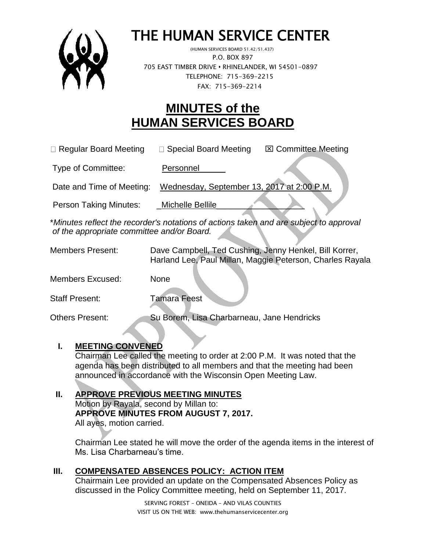

# THE HUMAN SERVICE CENTER

 (HUMAN SERVICES BOARD 51.42/51.437) P.O. BOX 897 705 EAST TIMBER DRIVE **•** RHINELANDER, WI 54501-0897 TELEPHONE: 715-369-2215 FAX: 715-369-2214

## **MINUTES of the HUMAN SERVICES BOARD**

| $\Box$ Regular Board Meeting  | $\Box$ Special Board Meeting               | <b>⊠ Committee Meeting</b> |
|-------------------------------|--------------------------------------------|----------------------------|
| Type of Committee:            | Personnel                                  |                            |
| Date and Time of Meeting:     | Wednesday, September 13, 2017 at 2:00 P.M. |                            |
| <b>Person Taking Minutes:</b> | Michelle Bellile                           |                            |

\**Minutes reflect the recorder's notations of actions taken and are subject to approval of the appropriate committee and/or Board.*

| <b>Members Present:</b> | Dave Campbell, Ted Cushing, Jenny Henkel, Bill Korrer,<br>Harland Lee, Paul Millan, Maggie Peterson, Charles Rayala |
|-------------------------|---------------------------------------------------------------------------------------------------------------------|
| <b>Members Excused:</b> | <b>None</b>                                                                                                         |
| <b>Staff Present:</b>   | <b>Tamara Feest</b>                                                                                                 |
| Others Present:         | Su Borem, Lisa Charbarneau, Jane Hendricks                                                                          |

#### **I. MEETING CONVENED**

Chairman Lee called the meeting to order at 2:00 P.M. It was noted that the agenda has been distributed to all members and that the meeting had been announced in accordance with the Wisconsin Open Meeting Law.

### **II. APPROVE PREVIOUS MEETING MINUTES**

Motion by Rayala, second by Millan to: **APPROVE MINUTES FROM AUGUST 7, 2017.**  All ayes, motion carried.

Chairman Lee stated he will move the order of the agenda items in the interest of Ms. Lisa Charbarneau's time.

#### **III. COMPENSATED ABSENCES POLICY: ACTION ITEM**

Chairmain Lee provided an update on the Compensated Absences Policy as discussed in the Policy Committee meeting, held on September 11, 2017.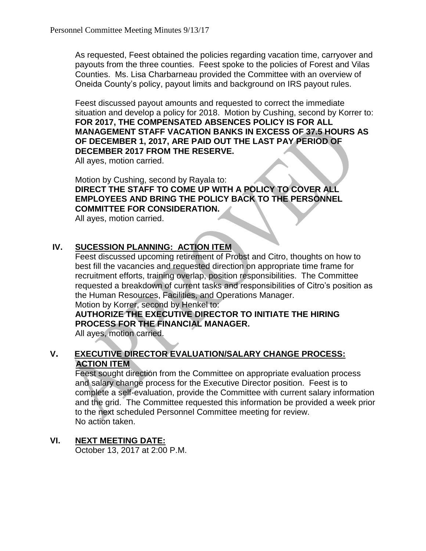As requested, Feest obtained the policies regarding vacation time, carryover and payouts from the three counties. Feest spoke to the policies of Forest and Vilas Counties. Ms. Lisa Charbarneau provided the Committee with an overview of Oneida County's policy, payout limits and background on IRS payout rules.

Feest discussed payout amounts and requested to correct the immediate situation and develop a policy for 2018. Motion by Cushing, second by Korrer to: **FOR 2017, THE COMPENSATED ABSENCES POLICY IS FOR ALL MANAGEMENT STAFF VACATION BANKS IN EXCESS OF 37.5 HOURS AS OF DECEMBER 1, 2017, ARE PAID OUT THE LAST PAY PERIOD OF DECEMBER 2017 FROM THE RESERVE.**

All ayes, motion carried.

Motion by Cushing, second by Rayala to: **DIRECT THE STAFF TO COME UP WITH A POLICY TO COVER ALL EMPLOYEES AND BRING THE POLICY BACK TO THE PERSONNEL COMMITTEE FOR CONSIDERATION.**

All ayes, motion carried.

#### **IV. SUCESSION PLANNING: ACTION ITEM**

Feest discussed upcoming retirement of Probst and Citro, thoughts on how to best fill the vacancies and requested direction on appropriate time frame for recruitment efforts, training overlap, position responsibilities. The Committee requested a breakdown of current tasks and responsibilities of Citro's position as the Human Resources, Facilities, and Operations Manager.

Motion by Korrer, second by Henkel to:

**AUTHORIZE THE EXECUTIVE DIRECTOR TO INITIATE THE HIRING PROCESS FOR THE FINANCIAL MANAGER.**

All ayes, motion carried.

#### **V. EXECUTIVE DIRECTOR EVALUATION/SALARY CHANGE PROCESS: ACTION ITEM**

Feest sought direction from the Committee on appropriate evaluation process and salary change process for the Executive Director position. Feest is to complete a self-evaluation, provide the Committee with current salary information and the grid. The Committee requested this information be provided a week prior to the next scheduled Personnel Committee meeting for review. No action taken.

#### **VI. NEXT MEETING DATE:**

October 13, 2017 at 2:00 P.M.